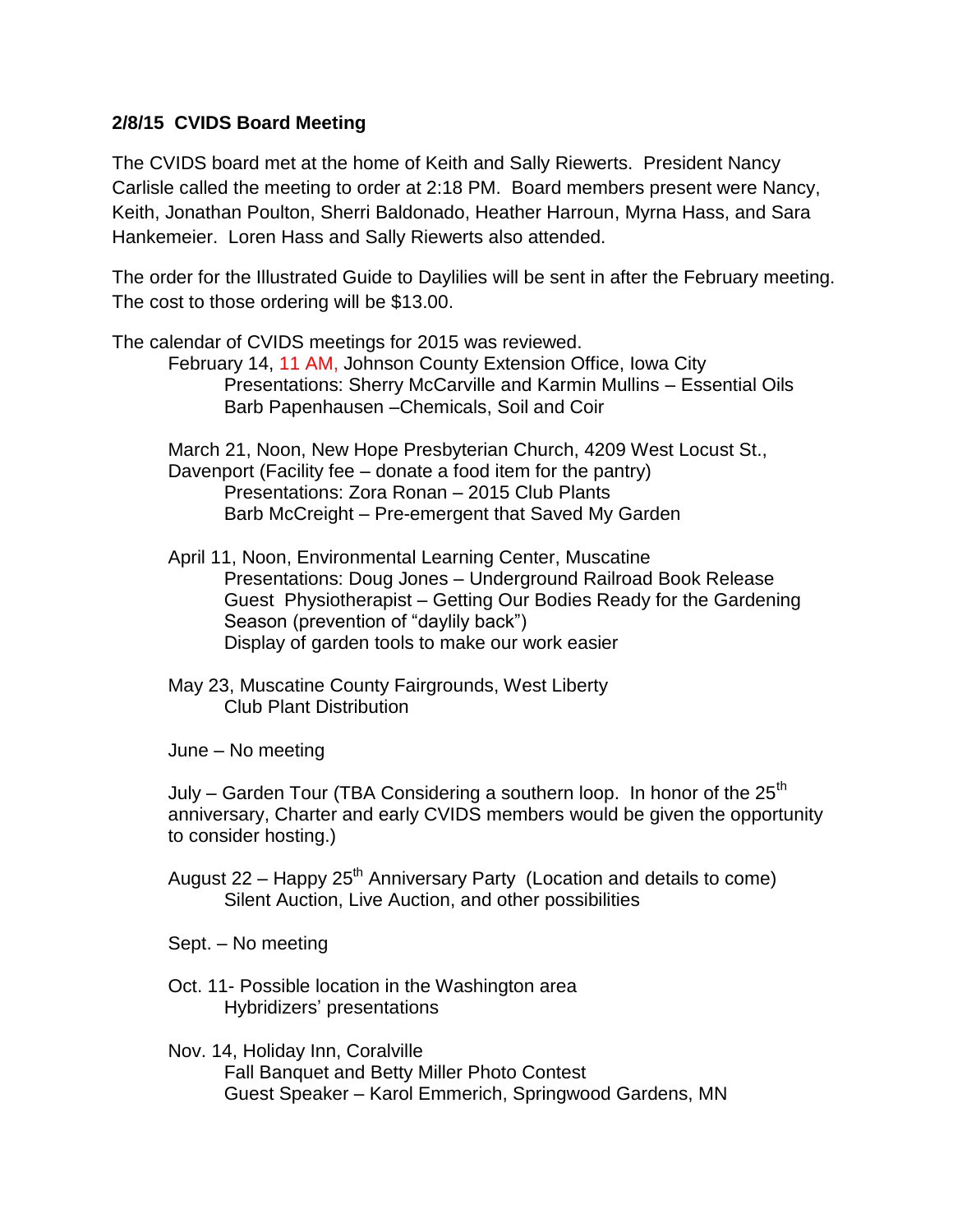## **2/8/15 CVIDS Board Meeting**

The CVIDS board met at the home of Keith and Sally Riewerts. President Nancy Carlisle called the meeting to order at 2:18 PM. Board members present were Nancy, Keith, Jonathan Poulton, Sherri Baldonado, Heather Harroun, Myrna Hass, and Sara Hankemeier. Loren Hass and Sally Riewerts also attended.

The order for the Illustrated Guide to Daylilies will be sent in after the February meeting. The cost to those ordering will be \$13.00.

The calendar of CVIDS meetings for 2015 was reviewed. February 14, 11 AM, Johnson County Extension Office, Iowa City Presentations: Sherry McCarville and Karmin Mullins – Essential Oils Barb Papenhausen –Chemicals, Soil and Coir March 21, Noon, New Hope Presbyterian Church, 4209 West Locust St., Davenport (Facility fee – donate a food item for the pantry) Presentations: Zora Ronan – 2015 Club Plants Barb McCreight – Pre-emergent that Saved My Garden April 11, Noon, Environmental Learning Center, Muscatine Presentations: Doug Jones – Underground Railroad Book Release Guest Physiotherapist – Getting Our Bodies Ready for the Gardening Season (prevention of "daylily back") Display of garden tools to make our work easier May 23, Muscatine County Fairgrounds, West Liberty Club Plant Distribution June – No meeting July – Garden Tour (TBA Considering a southern loop. In honor of the  $25<sup>th</sup>$ anniversary, Charter and early CVIDS members would be given the opportunity

August  $22$  – Happy  $25<sup>th</sup>$  Anniversary Party (Location and details to come) Silent Auction, Live Auction, and other possibilities

Sept. – No meeting

to consider hosting.)

- Oct. 11- Possible location in the Washington area Hybridizers' presentations
- Nov. 14, Holiday Inn, Coralville Fall Banquet and Betty Miller Photo Contest Guest Speaker – Karol Emmerich, Springwood Gardens, MN